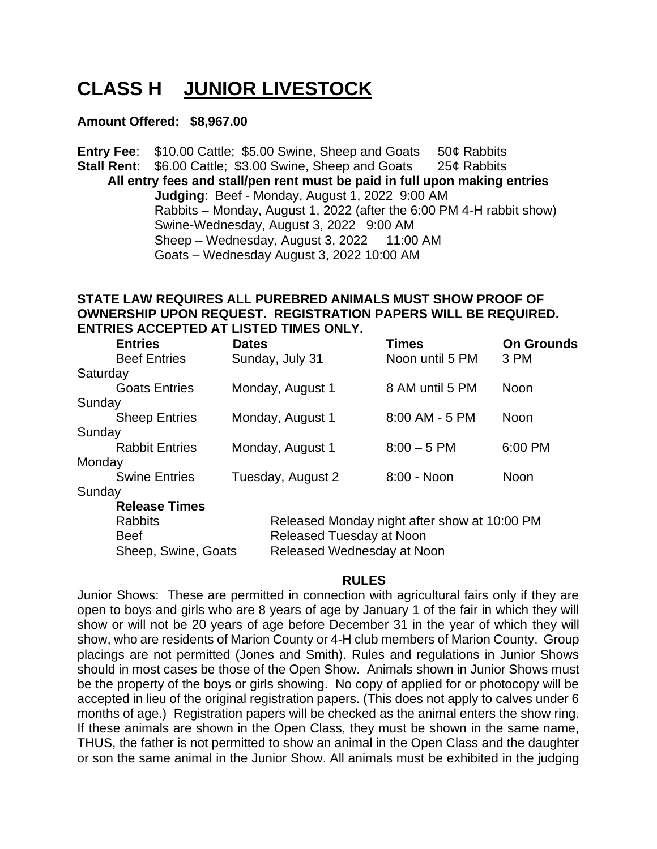# **CLASS H JUNIOR LIVESTOCK**

### **Amount Offered: \$8,967.00**

**Entry Fee:** \$10.00 Cattle; \$5.00 Swine, Sheep and Goats 50¢ Rabbits **Stall Rent:** \$6.00 Cattle; \$3.00 Swine, Sheep and Goats 25¢ Rabbits **All entry fees and stall/pen rent must be paid in full upon making entries Judging**: Beef - Monday, August 1, 2022 9:00 AM Rabbits – Monday, August 1, 2022 (after the 6:00 PM 4-H rabbit show) Swine-Wednesday, August 3, 2022 9:00 AM Sheep – Wednesday, August 3, 2022 11:00 AM Goats – Wednesday August 3, 2022 10:00 AM

# **STATE LAW REQUIRES ALL PUREBRED ANIMALS MUST SHOW PROOF OF OWNERSHIP UPON REQUEST. REGISTRATION PAPERS WILL BE REQUIRED. ENTRIES ACCEPTED AT LISTED TIMES ONLY.**

| <b>Entries</b>        | <b>Dates</b>                                      | <b>Times</b>     | <b>On Grounds</b> |  |
|-----------------------|---------------------------------------------------|------------------|-------------------|--|
| <b>Beef Entries</b>   | Sunday, July 31                                   | Noon until 5 PM  | 3 PM              |  |
| Saturday              |                                                   |                  |                   |  |
| <b>Goats Entries</b>  | Monday, August 1                                  | 8 AM until 5 PM  | Noon              |  |
| Sunday                |                                                   |                  |                   |  |
| <b>Sheep Entries</b>  | Monday, August 1                                  | $8:00$ AM - 5 PM | Noon              |  |
| Sunday                |                                                   |                  |                   |  |
| <b>Rabbit Entries</b> | Monday, August 1                                  | $8:00 - 5$ PM    | 6:00 PM           |  |
| Monday                |                                                   |                  |                   |  |
| <b>Swine Entries</b>  | Tuesday, August 2                                 | 8:00 - Noon      | <b>Noon</b>       |  |
| Sunday                |                                                   |                  |                   |  |
| <b>Release Times</b>  |                                                   |                  |                   |  |
| <b>Rabbits</b>        | Released Monday night after show at 10:00 PM      |                  |                   |  |
| <b>Beef</b>           | Released Tuesday at Noon                          |                  |                   |  |
|                       | Released Wednesday at Noon<br>Sheep, Swine, Goats |                  |                   |  |

### **RULES**

Junior Shows: These are permitted in connection with agricultural fairs only if they are open to boys and girls who are 8 years of age by January 1 of the fair in which they will show or will not be 20 years of age before December 31 in the year of which they will show, who are residents of Marion County or 4-H club members of Marion County. Group placings are not permitted (Jones and Smith). Rules and regulations in Junior Shows should in most cases be those of the Open Show. Animals shown in Junior Shows must be the property of the boys or girls showing. No copy of applied for or photocopy will be accepted in lieu of the original registration papers. (This does not apply to calves under 6 months of age.) Registration papers will be checked as the animal enters the show ring. If these animals are shown in the Open Class, they must be shown in the same name, THUS, the father is not permitted to show an animal in the Open Class and the daughter or son the same animal in the Junior Show. All animals must be exhibited in the judging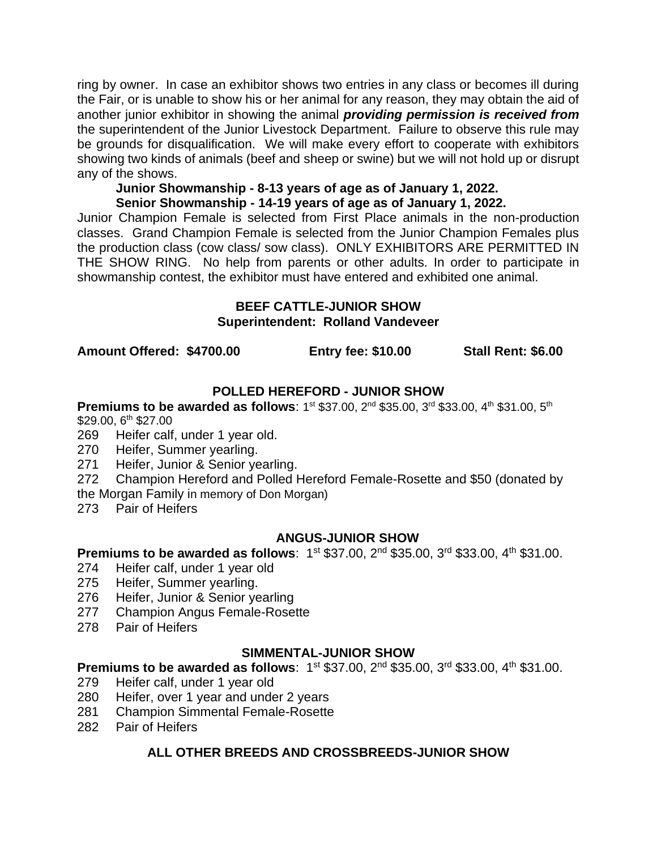ring by owner. In case an exhibitor shows two entries in any class or becomes ill during the Fair, or is unable to show his or her animal for any reason, they may obtain the aid of another junior exhibitor in showing the animal *providing permission is received from* the superintendent of the Junior Livestock Department. Failure to observe this rule may be grounds for disqualification. We will make every effort to cooperate with exhibitors showing two kinds of animals (beef and sheep or swine) but we will not hold up or disrupt any of the shows.

### **Junior Showmanship - 8-13 years of age as of January 1, 2022. Senior Showmanship - 14-19 years of age as of January 1, 2022.**

Junior Champion Female is selected from First Place animals in the non-production classes. Grand Champion Female is selected from the Junior Champion Females plus the production class (cow class/ sow class). ONLY EXHIBITORS ARE PERMITTED IN THE SHOW RING. No help from parents or other adults. In order to participate in showmanship contest, the exhibitor must have entered and exhibited one animal.

### **BEEF CATTLE-JUNIOR SHOW Superintendent: Rolland Vandeveer**

**Amount Offered: \$4700.00 Entry fee: \$10.00 Stall Rent: \$6.00**

# **POLLED HEREFORD - JUNIOR SHOW**

**Premiums to be awarded as follows**: 1st \$37.00, 2<sup>nd</sup> \$35.00, 3<sup>rd</sup> \$33.00, 4<sup>th</sup> \$31.00, 5<sup>th</sup> \$29.00, 6<sup>th</sup> \$27.00

- 269 Heifer calf, under 1 year old.
- 270 Heifer, Summer yearling.
- 271 Heifer, Junior & Senior yearling.
- 272 Champion Hereford and Polled Hereford Female-Rosette and \$50 (donated by
- the Morgan Family in memory of Don Morgan)
- 273 Pair of Heifers

# **ANGUS-JUNIOR SHOW**

### **Premiums to be awarded as follows:** 1<sup>st</sup> \$37.00, 2<sup>nd</sup> \$35.00, 3<sup>rd</sup> \$33.00, 4<sup>th</sup> \$31.00.

- 274 Heifer calf, under 1 year old
- 275 Heifer, Summer yearling.
- 276 Heifer, Junior & Senior yearling
- 277 Champion Angus Female-Rosette
- 278 Pair of Heifers

### **SIMMENTAL-JUNIOR SHOW**

**Premiums to be awarded as follows: 1st \$37.00, 2nd \$35.00, 3rd \$33.00, 4th \$31.00.** 

- 279 Heifer calf, under 1 year old
- 280 Heifer, over 1 year and under 2 years
- 281 Champion Simmental Female-Rosette
- 282 Pair of Heifers

# **ALL OTHER BREEDS AND CROSSBREEDS-JUNIOR SHOW**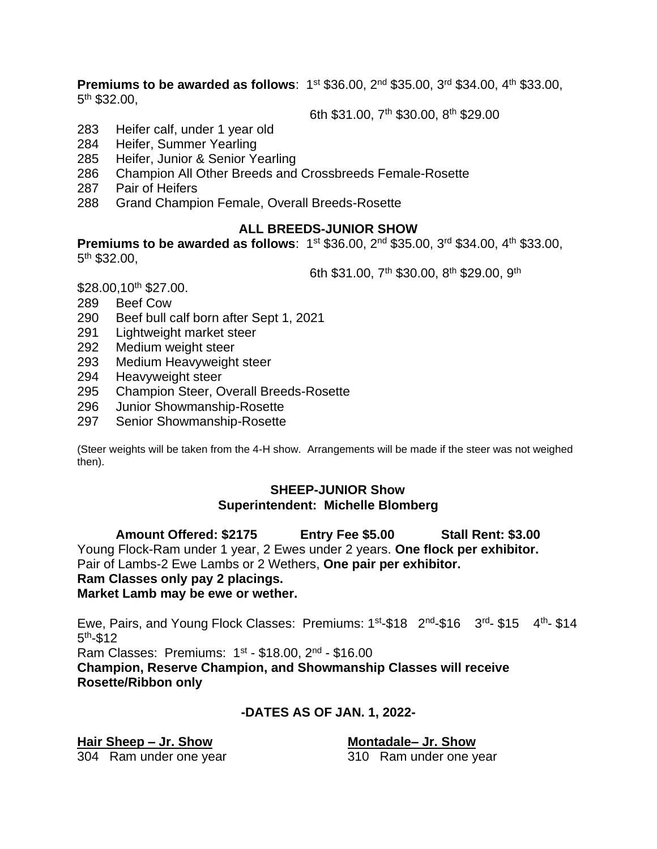**Premiums to be awarded as follows:** 1<sup>st</sup> \$36.00, 2<sup>nd</sup> \$35.00, 3<sup>rd</sup> \$34.00, 4<sup>th</sup> \$33.00, 5<sup>th</sup> \$32.00,

6th \$31.00, 7th \$30.00, 8th \$29.00

- 283 Heifer calf, under 1 year old
- 284 Heifer, Summer Yearling
- 285 Heifer, Junior & Senior Yearling
- 286 Champion All Other Breeds and Crossbreeds Female-Rosette
- 287 Pair of Heifers
- 288 Grand Champion Female, Overall Breeds-Rosette

### **ALL BREEDS-JUNIOR SHOW**

**Premiums to be awarded as follows:** 1<sup>st</sup> \$36.00, 2<sup>nd</sup> \$35.00, 3<sup>rd</sup> \$34.00, 4<sup>th</sup> \$33.00, 5<sup>th</sup> \$32.00,

6th \$31.00, 7<sup>th</sup> \$30.00, 8<sup>th</sup> \$29.00, 9<sup>th</sup>

\$28.00,10<sup>th</sup> \$27.00.

- 289 Beef Cow
- 290 Beef bull calf born after Sept 1, 2021
- 291 Lightweight market steer
- 292 Medium weight steer
- 293 Medium Heavyweight steer
- 294 Heavyweight steer
- 295 Champion Steer, Overall Breeds-Rosette
- 296 Junior Showmanship-Rosette
- 297 Senior Showmanship-Rosette

(Steer weights will be taken from the 4-H show. Arrangements will be made if the steer was not weighed then).

### **SHEEP-JUNIOR Show Superintendent: Michelle Blomberg**

**Amount Offered: \$2175 Entry Fee \$5.00 Stall Rent: \$3.00** Young Flock-Ram under 1 year, 2 Ewes under 2 years. **One flock per exhibitor.** Pair of Lambs-2 Ewe Lambs or 2 Wethers, **One pair per exhibitor. Ram Classes only pay 2 placings. Market Lamb may be ewe or wether.**

Ewe, Pairs, and Young Flock Classes: Premiums: 1<sup>st</sup>-\$18 2<sup>nd</sup>-\$16 3<sup>rd</sup>- \$15 4<sup>th</sup>- \$14 5<sup>th</sup>-\$12 Ram Classes: Premiums: 1st - \$18.00, 2<sup>nd</sup> - \$16.00 **Champion, Reserve Champion, and Showmanship Classes will receive Rosette/Ribbon only**

# **-DATES AS OF JAN. 1, 2022-**

**Hair Sheep – Jr. Show Montadale– Jr. Show**

304 Ram under one year 310 Ram under one year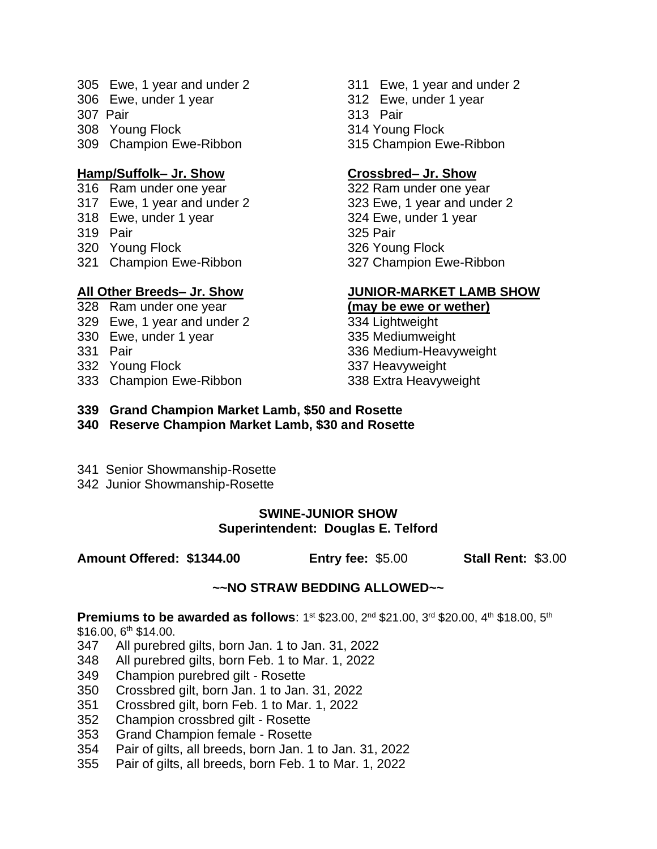- 305 Ewe, 1 year and under 2 311 Ewe, 1 year and under 2
- 
- 307 Pair 313 Pair
- 308 Young Flock 314 Young Flock
- 309 Champion Ewe-Ribbon 315 Champion Ewe-Ribbon

# **Hamp/Suffolk– Jr. Show Crossbred– Jr. Show**

- 316 Ram under one year 322 Ram under one year
- 
- 318 Ewe, under 1 year 324 Ewe, under 1 year
- 319 Pair 325 Pair
- 320 Young Flock 326 Young Flock
- 321 Champion Ewe-Ribbon 327 Champion Ewe-Ribbon

- 
- 329 Ewe, 1 year and under 2 334 Lightweight
- 330 Ewe, under 1 year 335 Mediumweight
- 
- 332 Young Flock 337 Heavyweight
- 333 Champion Ewe-Ribbon 338 Extra Heavyweight
- 
- 306 Ewe, under 1 year 312 Ewe, under 1 year
	-
	-
	-

317 Ewe, 1 year and under 2 323 Ewe, 1 year and under 2

# **All Other Breeds– Jr. Show JUNIOR-MARKET LAMB SHOW**

### 328 Ram under one year **(may be ewe or wether)**

- 331 Pair 336 Medium-Heavyweight
- **339 Grand Champion Market Lamb, \$50 and Rosette**
- **340 Reserve Champion Market Lamb, \$30 and Rosette**
- 341 Senior Showmanship-Rosette
- 342 Junior Showmanship-Rosette

# **SWINE-JUNIOR SHOW Superintendent: Douglas E. Telford**

**Amount Offered: \$1344.00 Entry fee:** \$5.00 **Stall Rent:** \$3.00

# **~~NO STRAW BEDDING ALLOWED~~**

# **Premiums to be awarded as follows**: 1st \$23.00, 2<sup>nd</sup> \$21.00, 3<sup>rd</sup> \$20.00, 4<sup>th</sup> \$18.00, 5<sup>th</sup>

 $$16.00, 6<sup>th</sup> $14.00.$ 

- 347 All purebred gilts, born Jan. 1 to Jan. 31, 2022
- 348 All purebred gilts, born Feb. 1 to Mar. 1, 2022
- 349 Champion purebred gilt Rosette
- 350 Crossbred gilt, born Jan. 1 to Jan. 31, 2022
- 351 Crossbred gilt, born Feb. 1 to Mar. 1, 2022
- 352 Champion crossbred gilt Rosette
- 353 Grand Champion female Rosette
- 354 Pair of gilts, all breeds, born Jan. 1 to Jan. 31, 2022
- 355 Pair of gilts, all breeds, born Feb. 1 to Mar. 1, 2022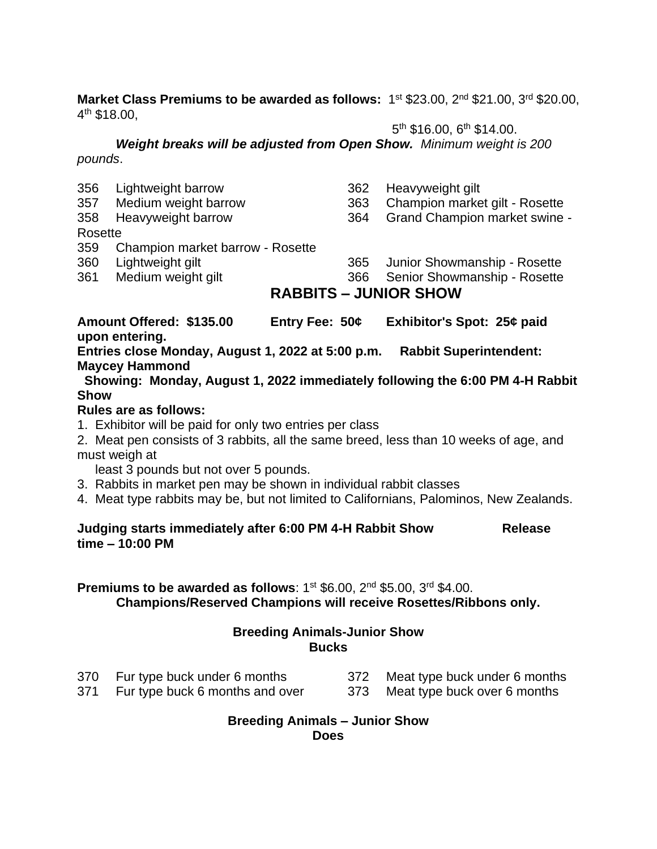Market Class Premiums to be awarded as follows: 1<sup>st</sup> \$23.00, 2<sup>nd</sup> \$21.00, 3<sup>rd</sup> \$20.00, 4<sup>th</sup> \$18.00,

 $5<sup>th</sup>$  \$16.00,  $6<sup>th</sup>$  \$14.00.

 $5\,$ *Weight breaks will be adjusted from Open Show. Minimum weight is 200 pounds*.

| 356<br>357<br>358 | Lightweight barrow<br>Medium weight barrow<br>Heavyweight barrow | 362<br>363<br>364 | Heavyweight gilt<br>Champion market gilt - Rosette<br><b>Grand Champion market swine -</b> |  |
|-------------------|------------------------------------------------------------------|-------------------|--------------------------------------------------------------------------------------------|--|
| Rosette           |                                                                  |                   |                                                                                            |  |
| 359               | Champion market barrow - Rosette                                 |                   |                                                                                            |  |
| 360               | Lightweight gilt                                                 | 365               | Junior Showmanship - Rosette                                                               |  |
| 361               | Medium weight gilt                                               | 366               | Senior Showmanship - Rosette                                                               |  |
|                   | <b>RABBITS – JUNIOR SHOW</b>                                     |                   |                                                                                            |  |

**Amount Offered: \$135.00 Entry Fee: 50¢ Exhibitor's Spot: 25¢ paid upon entering.**

**Entries close Monday, August 1, 2022 at 5:00 p.m. Rabbit Superintendent: Maycey Hammond**

 **Showing: Monday, August 1, 2022 immediately following the 6:00 PM 4-H Rabbit Show**

# **Rules are as follows:**

- 1. Exhibitor will be paid for only two entries per class
- 2. Meat pen consists of 3 rabbits, all the same breed, less than 10 weeks of age, and must weigh at

least 3 pounds but not over 5 pounds.

- 3. Rabbits in market pen may be shown in individual rabbit classes
- 4. Meat type rabbits may be, but not limited to Californians, Palominos, New Zealands.

# **Judging starts immediately after 6:00 PM 4-H Rabbit Show Release time – 10:00 PM**

**Premiums to be awarded as follows: 1st \$6.00, 2nd \$5.00, 3rd \$4.00. Champions/Reserved Champions will receive Rosettes/Ribbons only.**

# **Breeding Animals-Junior Show Bucks**

- 370 Fur type buck under 6 months 372 Meat type buck under 6 months
- 
- 371 Fur type buck 6 months and over 373 Meat type buck over 6 months
- 

# **Breeding Animals – Junior Show**